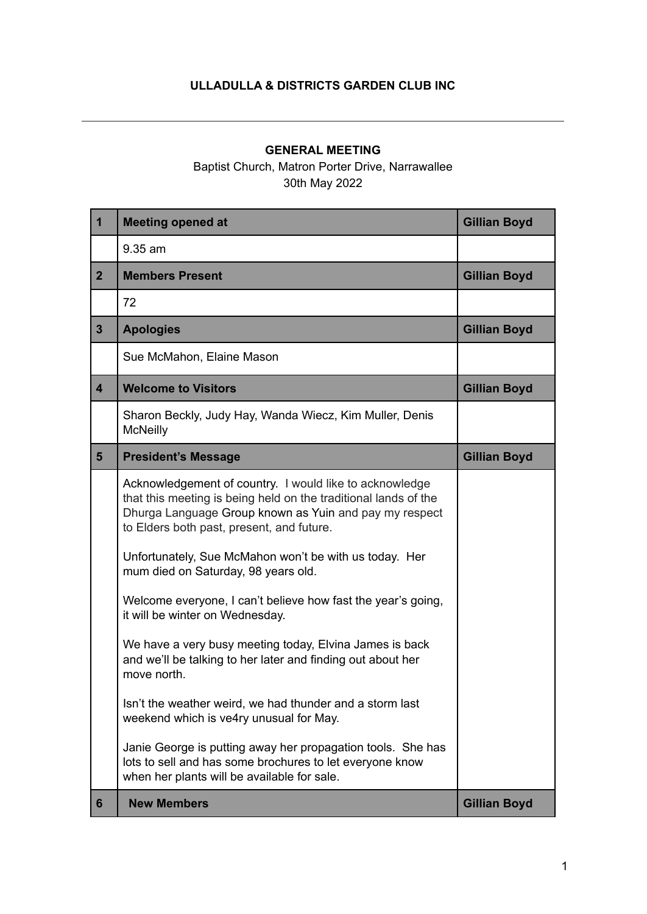## **ULLADULLA & DISTRICTS GARDEN CLUB INC**

## **GENERAL MEETING**

## Baptist Church, Matron Porter Drive, Narrawallee 30th May 2022

| $\mathbf 1$             | <b>Meeting opened at</b>                                                                                                                                                                                                                                                                                                                                                                                                                                                                                                                                                                                                                                                                                                                                                                                                                                        | <b>Gillian Boyd</b> |
|-------------------------|-----------------------------------------------------------------------------------------------------------------------------------------------------------------------------------------------------------------------------------------------------------------------------------------------------------------------------------------------------------------------------------------------------------------------------------------------------------------------------------------------------------------------------------------------------------------------------------------------------------------------------------------------------------------------------------------------------------------------------------------------------------------------------------------------------------------------------------------------------------------|---------------------|
|                         | 9.35 am                                                                                                                                                                                                                                                                                                                                                                                                                                                                                                                                                                                                                                                                                                                                                                                                                                                         |                     |
| 2 <sup>1</sup>          | <b>Members Present</b>                                                                                                                                                                                                                                                                                                                                                                                                                                                                                                                                                                                                                                                                                                                                                                                                                                          | <b>Gillian Boyd</b> |
|                         | 72                                                                                                                                                                                                                                                                                                                                                                                                                                                                                                                                                                                                                                                                                                                                                                                                                                                              |                     |
| 3 <sup>1</sup>          | <b>Apologies</b>                                                                                                                                                                                                                                                                                                                                                                                                                                                                                                                                                                                                                                                                                                                                                                                                                                                | <b>Gillian Boyd</b> |
|                         | Sue McMahon, Elaine Mason                                                                                                                                                                                                                                                                                                                                                                                                                                                                                                                                                                                                                                                                                                                                                                                                                                       |                     |
| $\overline{\mathbf{4}}$ | <b>Welcome to Visitors</b>                                                                                                                                                                                                                                                                                                                                                                                                                                                                                                                                                                                                                                                                                                                                                                                                                                      | <b>Gillian Boyd</b> |
|                         | Sharon Beckly, Judy Hay, Wanda Wiecz, Kim Muller, Denis<br><b>McNeilly</b>                                                                                                                                                                                                                                                                                                                                                                                                                                                                                                                                                                                                                                                                                                                                                                                      |                     |
| 5 <sup>5</sup>          | <b>President's Message</b>                                                                                                                                                                                                                                                                                                                                                                                                                                                                                                                                                                                                                                                                                                                                                                                                                                      | <b>Gillian Boyd</b> |
|                         | Acknowledgement of country. I would like to acknowledge<br>that this meeting is being held on the traditional lands of the<br>Dhurga Language Group known as Yuin and pay my respect<br>to Elders both past, present, and future.<br>Unfortunately, Sue McMahon won't be with us today. Her<br>mum died on Saturday, 98 years old.<br>Welcome everyone, I can't believe how fast the year's going,<br>it will be winter on Wednesday.<br>We have a very busy meeting today, Elvina James is back<br>and we'll be talking to her later and finding out about her<br>move north.<br>Isn't the weather weird, we had thunder and a storm last<br>weekend which is ve4ry unusual for May.<br>Janie George is putting away her propagation tools. She has<br>lots to sell and has some brochures to let everyone know<br>when her plants will be available for sale. |                     |
| 6                       | <b>New Members</b>                                                                                                                                                                                                                                                                                                                                                                                                                                                                                                                                                                                                                                                                                                                                                                                                                                              | <b>Gillian Boyd</b> |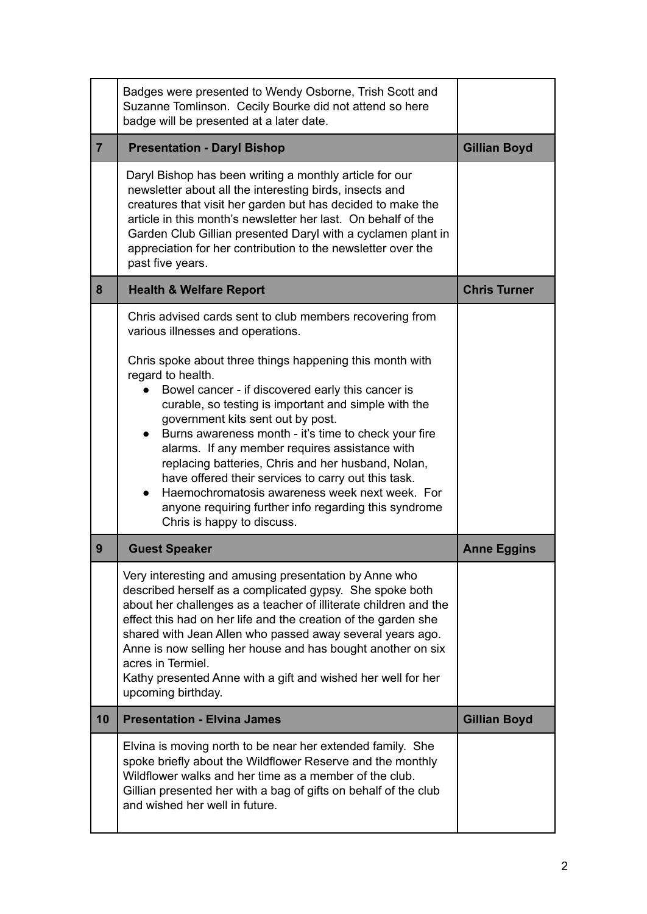|                | Badges were presented to Wendy Osborne, Trish Scott and<br>Suzanne Tomlinson. Cecily Bourke did not attend so here<br>badge will be presented at a later date.                                                                                                                                                                                                                                                                                                                                                                                                                                  |                     |
|----------------|-------------------------------------------------------------------------------------------------------------------------------------------------------------------------------------------------------------------------------------------------------------------------------------------------------------------------------------------------------------------------------------------------------------------------------------------------------------------------------------------------------------------------------------------------------------------------------------------------|---------------------|
| $\overline{7}$ | <b>Presentation - Daryl Bishop</b>                                                                                                                                                                                                                                                                                                                                                                                                                                                                                                                                                              | <b>Gillian Boyd</b> |
|                | Daryl Bishop has been writing a monthly article for our<br>newsletter about all the interesting birds, insects and<br>creatures that visit her garden but has decided to make the<br>article in this month's newsletter her last. On behalf of the<br>Garden Club Gillian presented Daryl with a cyclamen plant in<br>appreciation for her contribution to the newsletter over the<br>past five years.                                                                                                                                                                                          |                     |
| 8              | <b>Health &amp; Welfare Report</b>                                                                                                                                                                                                                                                                                                                                                                                                                                                                                                                                                              | <b>Chris Turner</b> |
|                | Chris advised cards sent to club members recovering from<br>various illnesses and operations.                                                                                                                                                                                                                                                                                                                                                                                                                                                                                                   |                     |
|                | Chris spoke about three things happening this month with<br>regard to health.<br>Bowel cancer - if discovered early this cancer is<br>curable, so testing is important and simple with the<br>government kits sent out by post.<br>Burns awareness month - it's time to check your fire<br>alarms. If any member requires assistance with<br>replacing batteries, Chris and her husband, Nolan,<br>have offered their services to carry out this task.<br>Haemochromatosis awareness week next week. For<br>anyone requiring further info regarding this syndrome<br>Chris is happy to discuss. |                     |
| 9              | <b>Guest Speaker</b>                                                                                                                                                                                                                                                                                                                                                                                                                                                                                                                                                                            | <b>Anne Eggins</b>  |
|                | Very interesting and amusing presentation by Anne who<br>described herself as a complicated gypsy. She spoke both<br>about her challenges as a teacher of illiterate children and the<br>effect this had on her life and the creation of the garden she<br>shared with Jean Allen who passed away several years ago.<br>Anne is now selling her house and has bought another on six<br>acres in Termiel.<br>Kathy presented Anne with a gift and wished her well for her<br>upcoming birthday.                                                                                                  |                     |
| 10             | <b>Presentation - Elvina James</b>                                                                                                                                                                                                                                                                                                                                                                                                                                                                                                                                                              | <b>Gillian Boyd</b> |
|                | Elvina is moving north to be near her extended family. She<br>spoke briefly about the Wildflower Reserve and the monthly<br>Wildflower walks and her time as a member of the club.<br>Gillian presented her with a bag of gifts on behalf of the club<br>and wished her well in future.                                                                                                                                                                                                                                                                                                         |                     |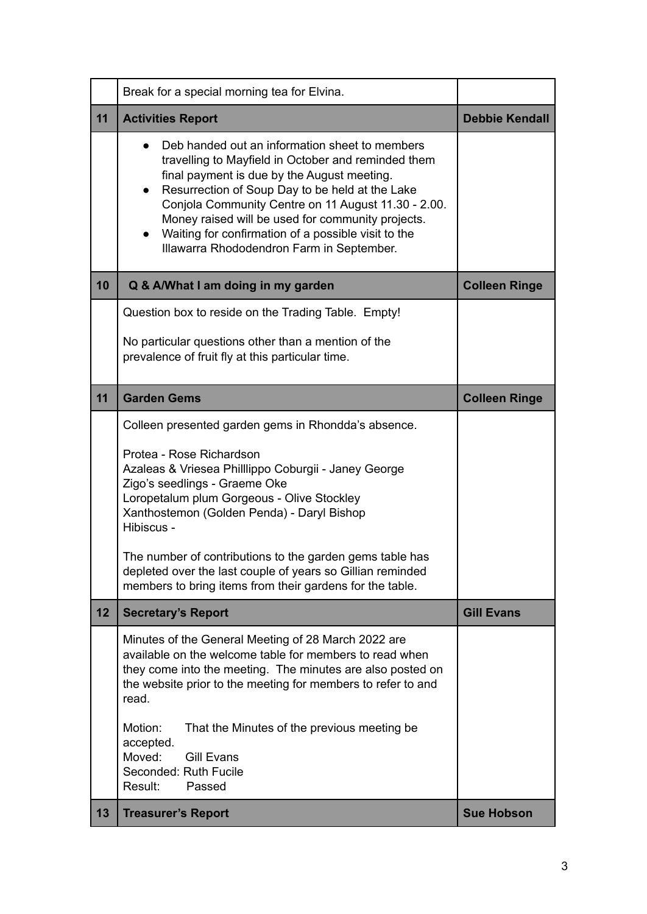|    | Break for a special morning tea for Elvina.                                                                                                                                                                                                                                                                                                                                                                                          |                       |
|----|--------------------------------------------------------------------------------------------------------------------------------------------------------------------------------------------------------------------------------------------------------------------------------------------------------------------------------------------------------------------------------------------------------------------------------------|-----------------------|
| 11 | <b>Activities Report</b>                                                                                                                                                                                                                                                                                                                                                                                                             | <b>Debbie Kendall</b> |
|    | Deb handed out an information sheet to members<br>travelling to Mayfield in October and reminded them<br>final payment is due by the August meeting.<br>Resurrection of Soup Day to be held at the Lake<br>$\bullet$<br>Conjola Community Centre on 11 August 11.30 - 2.00.<br>Money raised will be used for community projects.<br>Waiting for confirmation of a possible visit to the<br>Illawarra Rhododendron Farm in September. |                       |
| 10 | Q & A/What I am doing in my garden                                                                                                                                                                                                                                                                                                                                                                                                   | <b>Colleen Ringe</b>  |
|    | Question box to reside on the Trading Table. Empty!                                                                                                                                                                                                                                                                                                                                                                                  |                       |
|    | No particular questions other than a mention of the<br>prevalence of fruit fly at this particular time.                                                                                                                                                                                                                                                                                                                              |                       |
| 11 | <b>Garden Gems</b>                                                                                                                                                                                                                                                                                                                                                                                                                   | <b>Colleen Ringe</b>  |
|    | Colleen presented garden gems in Rhondda's absence.                                                                                                                                                                                                                                                                                                                                                                                  |                       |
|    | Protea - Rose Richardson<br>Azaleas & Vriesea Philllippo Coburgii - Janey George<br>Zigo's seedlings - Graeme Oke<br>Loropetalum plum Gorgeous - Olive Stockley<br>Xanthostemon (Golden Penda) - Daryl Bishop<br>Hibiscus -                                                                                                                                                                                                          |                       |
|    | The number of contributions to the garden gems table has<br>depleted over the last couple of years so Gillian reminded<br>members to bring items from their gardens for the table.                                                                                                                                                                                                                                                   |                       |
| 12 | <b>Secretary's Report</b>                                                                                                                                                                                                                                                                                                                                                                                                            | <b>Gill Evans</b>     |
|    | Minutes of the General Meeting of 28 March 2022 are<br>available on the welcome table for members to read when<br>they come into the meeting. The minutes are also posted on<br>the website prior to the meeting for members to refer to and<br>read.<br>Motion:<br>That the Minutes of the previous meeting be<br>accepted.<br>Moved:<br><b>Gill Evans</b><br>Seconded: Ruth Fucile<br>Result:<br>Passed                            |                       |
| 13 | <b>Treasurer's Report</b>                                                                                                                                                                                                                                                                                                                                                                                                            | <b>Sue Hobson</b>     |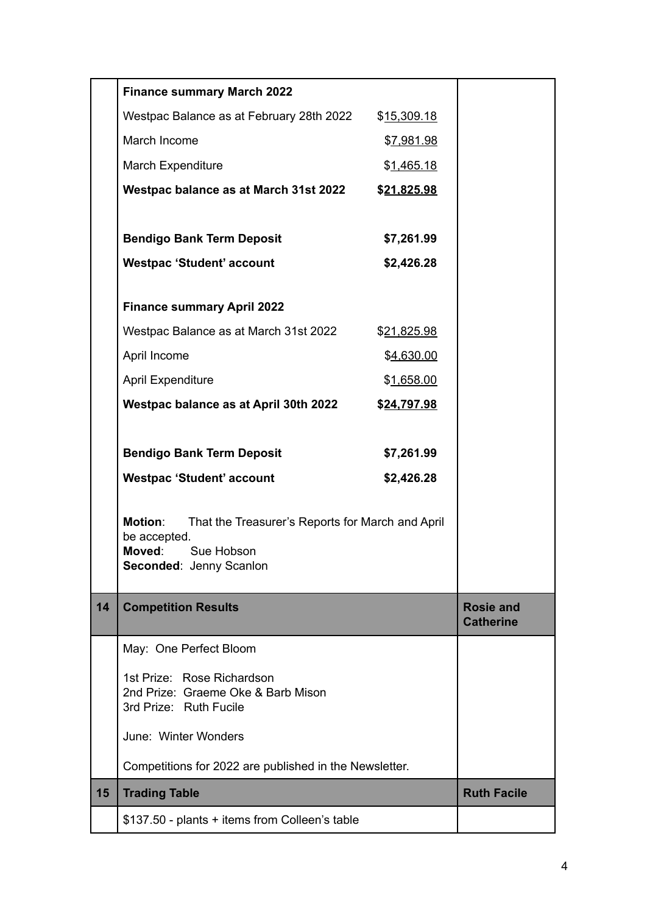|    | <b>Finance summary March 2022</b>                                                  |                    |                                      |
|----|------------------------------------------------------------------------------------|--------------------|--------------------------------------|
|    | Westpac Balance as at February 28th 2022                                           | \$15,309.18        |                                      |
|    | March Income                                                                       | \$7,981.98         |                                      |
|    | March Expenditure                                                                  | \$ <u>1,465.18</u> |                                      |
|    | Westpac balance as at March 31st 2022                                              | \$21,825.98        |                                      |
|    |                                                                                    |                    |                                      |
|    | <b>Bendigo Bank Term Deposit</b>                                                   | \$7,261.99         |                                      |
|    | <b>Westpac 'Student' account</b>                                                   | \$2,426.28         |                                      |
|    |                                                                                    |                    |                                      |
|    | <b>Finance summary April 2022</b>                                                  |                    |                                      |
|    | Westpac Balance as at March 31st 2022                                              | \$21,825.98        |                                      |
|    | April Income                                                                       | \$4,630.00         |                                      |
|    | <b>April Expenditure</b>                                                           | \$1,658.00         |                                      |
|    | Westpac balance as at April 30th 2022                                              | \$24,797.98        |                                      |
|    |                                                                                    |                    |                                      |
|    | <b>Bendigo Bank Term Deposit</b>                                                   | \$7,261.99         |                                      |
|    | <b>Westpac 'Student' account</b>                                                   | \$2,426.28         |                                      |
|    |                                                                                    |                    |                                      |
|    | <b>Motion:</b><br>That the Treasurer's Reports for March and April<br>be accepted. |                    |                                      |
|    | Moved: Sue Hobson                                                                  |                    |                                      |
|    | <b>Seconded: Jenny Scanlon</b>                                                     |                    |                                      |
| 14 | <b>Competition Results</b>                                                         |                    | <b>Rosie and</b><br><b>Catherine</b> |
|    | May: One Perfect Bloom                                                             |                    |                                      |
|    | 1st Prize: Rose Richardson                                                         |                    |                                      |
|    | 2nd Prize: Graeme Oke & Barb Mison<br>3rd Prize: Ruth Fucile                       |                    |                                      |
|    | June: Winter Wonders                                                               |                    |                                      |
|    | Competitions for 2022 are published in the Newsletter.                             |                    |                                      |
| 15 | <b>Trading Table</b>                                                               |                    | <b>Ruth Facile</b>                   |
|    | \$137.50 - plants + items from Colleen's table                                     |                    |                                      |